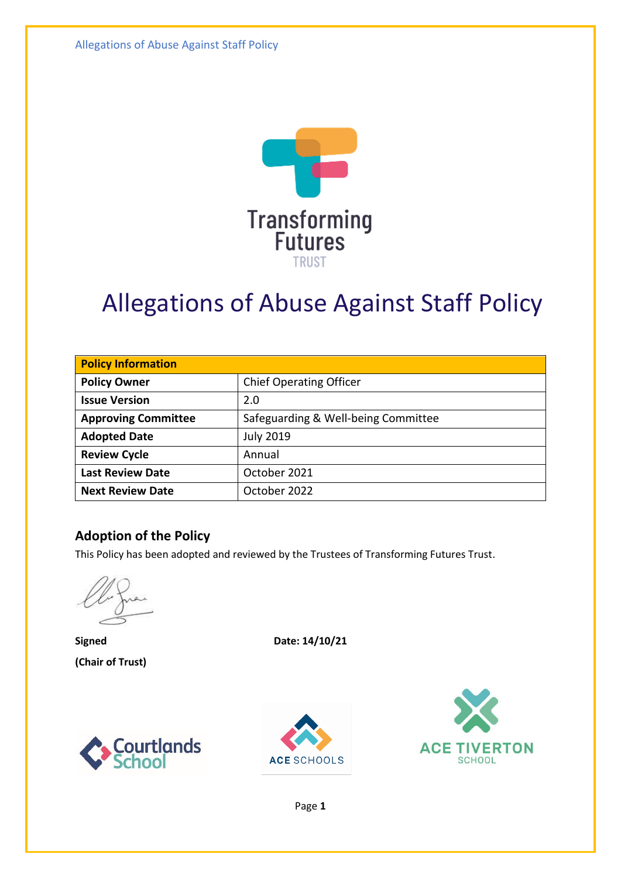Allegations of Abuse Against Staff Policy



# Allegations of Abuse Against Staff Policy

| <b>Policy Information</b>  |                                     |  |
|----------------------------|-------------------------------------|--|
| <b>Policy Owner</b>        | <b>Chief Operating Officer</b>      |  |
| <b>Issue Version</b>       | 2.0                                 |  |
| <b>Approving Committee</b> | Safeguarding & Well-being Committee |  |
| <b>Adopted Date</b>        | <b>July 2019</b>                    |  |
| <b>Review Cycle</b>        | Annual                              |  |
| <b>Last Review Date</b>    | October 2021                        |  |
| <b>Next Review Date</b>    | October 2022                        |  |

#### **Adoption of the Policy**

This Policy has been adopted and reviewed by the Trustees of Transforming Futures Trust.

**(Chair of Trust)**

**Signed Date: 14/10/21**







Page **1**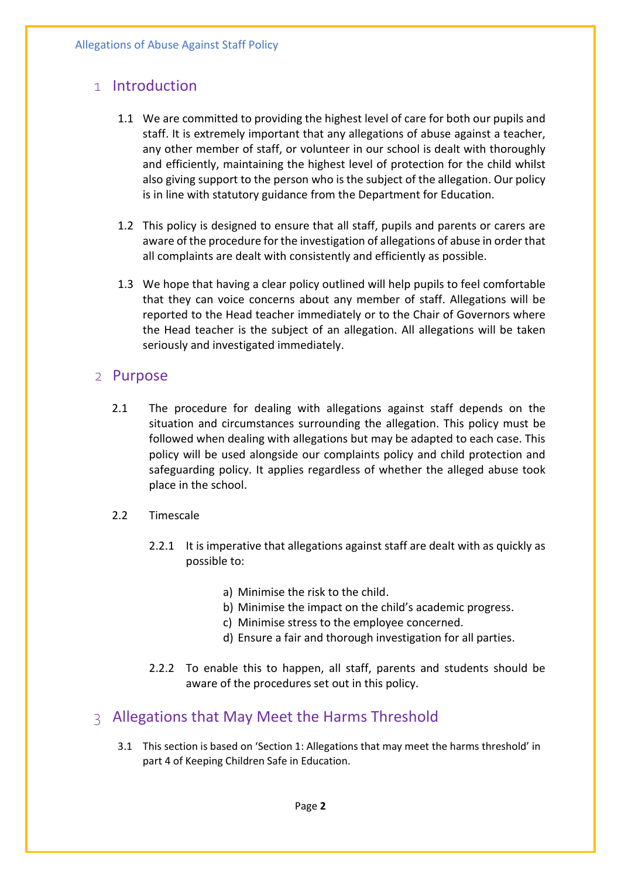# 1 Introduction

- 1.1 We are committed to providing the highest level of care for both our pupils and staff. It is extremely important that any allegations of abuse against a teacher, any other member of staff, or volunteer in our school is dealt with thoroughly and efficiently, maintaining the highest level of protection for the child whilst also giving support to the person who is the subject of the allegation. Our policy is in line with statutory guidance from the Department for Education.
- 1.2 This policy is designed to ensure that all staff, pupils and parents or carers are aware of the procedure for the investigation of allegations of abuse in order that all complaints are dealt with consistently and efficiently as possible.
- 1.3 We hope that having a clear policy outlined will help pupils to feel comfortable that they can voice concerns about any member of staff. Allegations will be reported to the Head teacher immediately or to the Chair of Governors where the Head teacher is the subject of an allegation. All allegations will be taken seriously and investigated immediately.

#### 2 Purpose

- 2.1 The procedure for dealing with allegations against staff depends on the situation and circumstances surrounding the allegation. This policy must be followed when dealing with allegations but may be adapted to each case. This policy will be used alongside our complaints policy and child protection and safeguarding policy. It applies regardless of whether the alleged abuse took place in the school.
- 2.2 Timescale
	- 2.2.1 It is imperative that allegations against staff are dealt with as quickly as possible to:
		- a) Minimise the risk to the child.
		- b) Minimise the impact on the child's academic progress.
		- c) Minimise stress to the employee concerned.
		- d) Ensure a fair and thorough investigation for all parties.
	- 2.2.2 To enable this to happen, all staff, parents and students should be aware of the procedures set out in this policy.

## 3 Allegations that May Meet the Harms Threshold

3.1 This section is based on 'Section 1: Allegations that may meet the harms threshold' in part 4 of Keeping Children Safe in Education.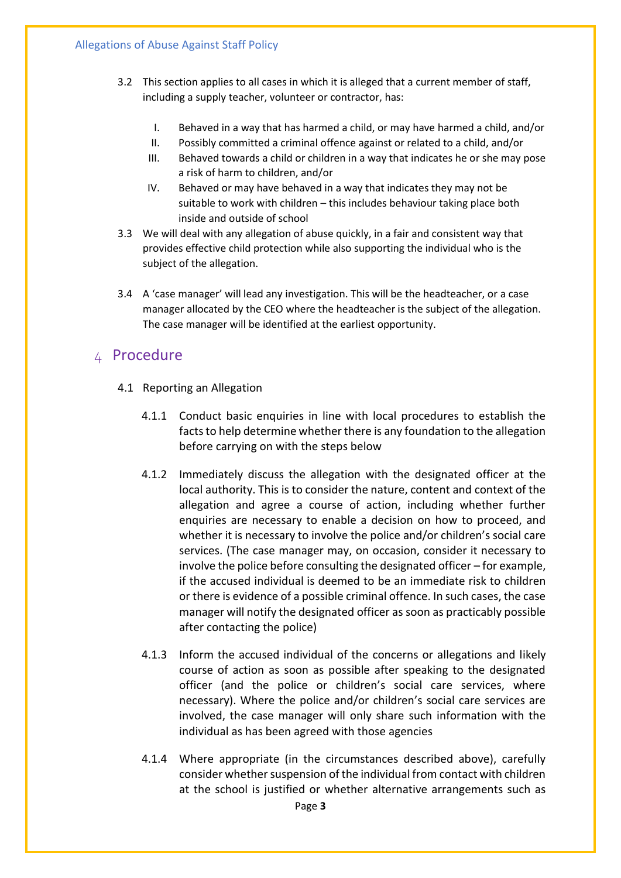- 3.2 This section applies to all cases in which it is alleged that a current member of staff, including a supply teacher, volunteer or contractor, has:
	- I. Behaved in a way that has harmed a child, or may have harmed a child, and/or
	- II. Possibly committed a criminal offence against or related to a child, and/or
	- III. Behaved towards a child or children in a way that indicates he or she may pose a risk of harm to children, and/or
	- IV. Behaved or may have behaved in a way that indicates they may not be suitable to work with children – this includes behaviour taking place both inside and outside of school
- 3.3 We will deal with any allegation of abuse quickly, in a fair and consistent way that provides effective child protection while also supporting the individual who is the subject of the allegation.
- 3.4 A 'case manager' will lead any investigation. This will be the headteacher, or a case manager allocated by the CEO where the headteacher is the subject of the allegation. The case manager will be identified at the earliest opportunity.

### 4 Procedure

- 4.1 Reporting an Allegation
	- 4.1.1 Conduct basic enquiries in line with local procedures to establish the facts to help determine whether there is any foundation to the allegation before carrying on with the steps below
	- 4.1.2 Immediately discuss the allegation with the designated officer at the local authority. This is to consider the nature, content and context of the allegation and agree a course of action, including whether further enquiries are necessary to enable a decision on how to proceed, and whether it is necessary to involve the police and/or children's social care services. (The case manager may, on occasion, consider it necessary to involve the police before consulting the designated officer – for example, if the accused individual is deemed to be an immediate risk to children or there is evidence of a possible criminal offence. In such cases, the case manager will notify the designated officer as soon as practicably possible after contacting the police)
	- 4.1.3 Inform the accused individual of the concerns or allegations and likely course of action as soon as possible after speaking to the designated officer (and the police or children's social care services, where necessary). Where the police and/or children's social care services are involved, the case manager will only share such information with the individual as has been agreed with those agencies
	- 4.1.4 Where appropriate (in the circumstances described above), carefully consider whether suspension of the individual from contact with children at the school is justified or whether alternative arrangements such as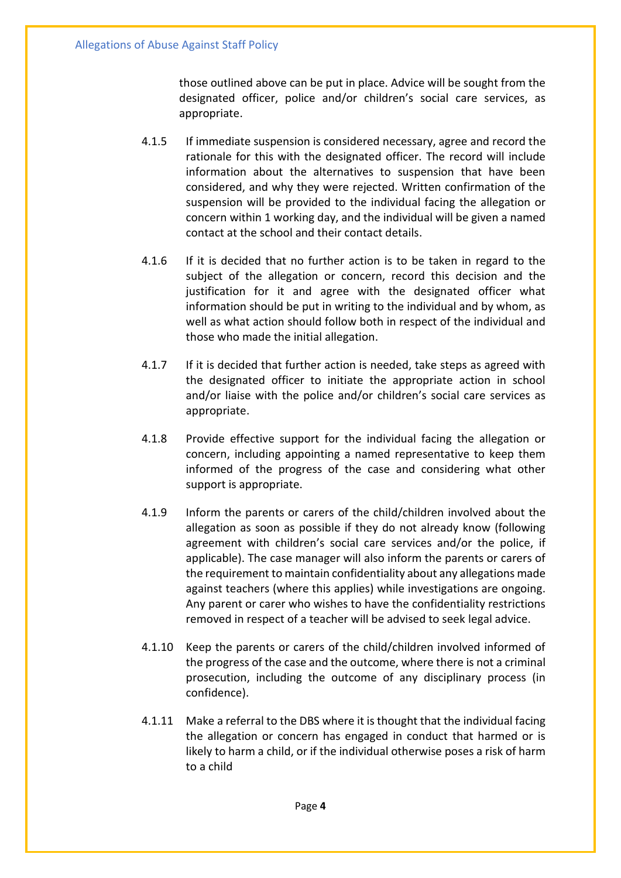those outlined above can be put in place. Advice will be sought from the designated officer, police and/or children's social care services, as appropriate.

- 4.1.5 If immediate suspension is considered necessary, agree and record the rationale for this with the designated officer. The record will include information about the alternatives to suspension that have been considered, and why they were rejected. Written confirmation of the suspension will be provided to the individual facing the allegation or concern within 1 working day, and the individual will be given a named contact at the school and their contact details.
- 4.1.6 If it is decided that no further action is to be taken in regard to the subject of the allegation or concern, record this decision and the justification for it and agree with the designated officer what information should be put in writing to the individual and by whom, as well as what action should follow both in respect of the individual and those who made the initial allegation.
- 4.1.7 If it is decided that further action is needed, take steps as agreed with the designated officer to initiate the appropriate action in school and/or liaise with the police and/or children's social care services as appropriate.
- 4.1.8 Provide effective support for the individual facing the allegation or concern, including appointing a named representative to keep them informed of the progress of the case and considering what other support is appropriate.
- 4.1.9 Inform the parents or carers of the child/children involved about the allegation as soon as possible if they do not already know (following agreement with children's social care services and/or the police, if applicable). The case manager will also inform the parents or carers of the requirement to maintain confidentiality about any allegations made against teachers (where this applies) while investigations are ongoing. Any parent or carer who wishes to have the confidentiality restrictions removed in respect of a teacher will be advised to seek legal advice.
- 4.1.10 Keep the parents or carers of the child/children involved informed of the progress of the case and the outcome, where there is not a criminal prosecution, including the outcome of any disciplinary process (in confidence).
- 4.1.11 Make a referral to the DBS where it is thought that the individual facing the allegation or concern has engaged in conduct that harmed or is likely to harm a child, or if the individual otherwise poses a risk of harm to a child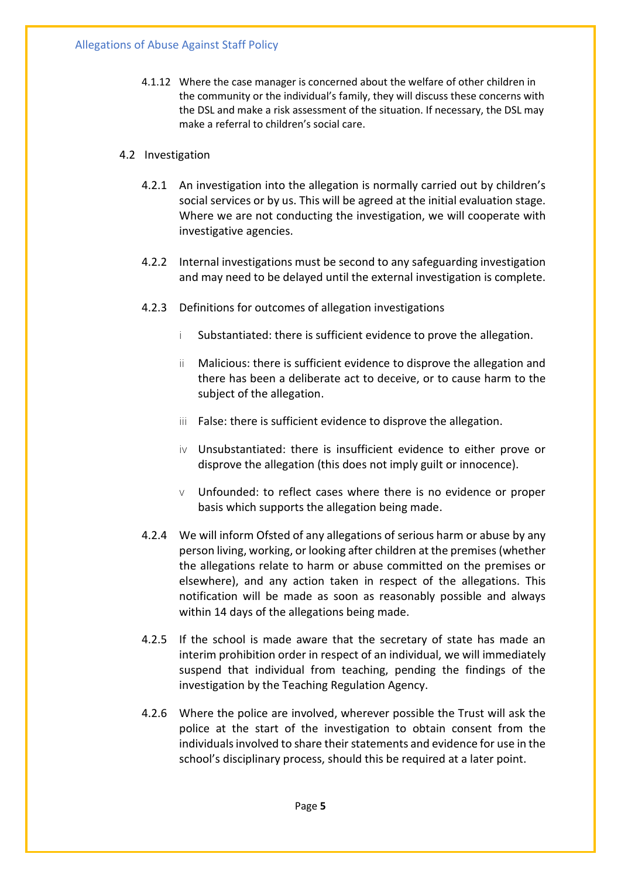4.1.12 Where the case manager is concerned about the welfare of other children in the community or the individual's family, they will discuss these concerns with the DSL and make a risk assessment of the situation. If necessary, the DSL may make a referral to children's social care.

#### 4.2 Investigation

- 4.2.1 An investigation into the allegation is normally carried out by children's social services or by us. This will be agreed at the initial evaluation stage. Where we are not conducting the investigation, we will cooperate with investigative agencies.
- 4.2.2 Internal investigations must be second to any safeguarding investigation and may need to be delayed until the external investigation is complete.
- 4.2.3 Definitions for outcomes of allegation investigations
	- i Substantiated: there is sufficient evidence to prove the allegation.
	- ii Malicious: there is sufficient evidence to disprove the allegation and there has been a deliberate act to deceive, or to cause harm to the subject of the allegation.
	- iii False: there is sufficient evidence to disprove the allegation.
	- iv Unsubstantiated: there is insufficient evidence to either prove or disprove the allegation (this does not imply guilt or innocence).
	- $\vee$  Unfounded: to reflect cases where there is no evidence or proper basis which supports the allegation being made.
- 4.2.4 We will inform Ofsted of any allegations of serious harm or abuse by any person living, working, or looking after children at the premises (whether the allegations relate to harm or abuse committed on the premises or elsewhere), and any action taken in respect of the allegations. This notification will be made as soon as reasonably possible and always within 14 days of the allegations being made.
- 4.2.5 If the school is made aware that the secretary of state has made an interim prohibition order in respect of an individual, we will immediately suspend that individual from teaching, pending the findings of the investigation by the Teaching Regulation Agency.
- 4.2.6 Where the police are involved, wherever possible the Trust will ask the police at the start of the investigation to obtain consent from the individuals involved to share their statements and evidence for use in the school's disciplinary process, should this be required at a later point.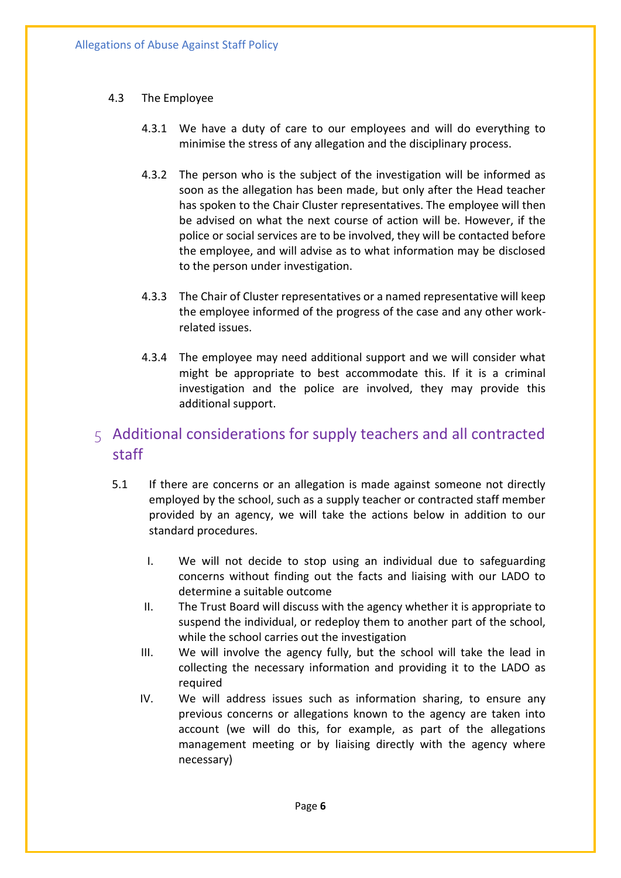#### 4.3 The Employee

- 4.3.1 We have a duty of care to our employees and will do everything to minimise the stress of any allegation and the disciplinary process.
- 4.3.2 The person who is the subject of the investigation will be informed as soon as the allegation has been made, but only after the Head teacher has spoken to the Chair Cluster representatives. The employee will then be advised on what the next course of action will be. However, if the police or social services are to be involved, they will be contacted before the employee, and will advise as to what information may be disclosed to the person under investigation.
- 4.3.3 The Chair of Cluster representatives or a named representative will keep the employee informed of the progress of the case and any other workrelated issues.
- 4.3.4 The employee may need additional support and we will consider what might be appropriate to best accommodate this. If it is a criminal investigation and the police are involved, they may provide this additional support.

# 5 Additional considerations for supply teachers and all contracted staff

- 5.1 If there are concerns or an allegation is made against someone not directly employed by the school, such as a supply teacher or contracted staff member provided by an agency, we will take the actions below in addition to our standard procedures.
	- I. We will not decide to stop using an individual due to safeguarding concerns without finding out the facts and liaising with our LADO to determine a suitable outcome
	- II. The Trust Board will discuss with the agency whether it is appropriate to suspend the individual, or redeploy them to another part of the school, while the school carries out the investigation
	- III. We will involve the agency fully, but the school will take the lead in collecting the necessary information and providing it to the LADO as required
	- IV. We will address issues such as information sharing, to ensure any previous concerns or allegations known to the agency are taken into account (we will do this, for example, as part of the allegations management meeting or by liaising directly with the agency where necessary)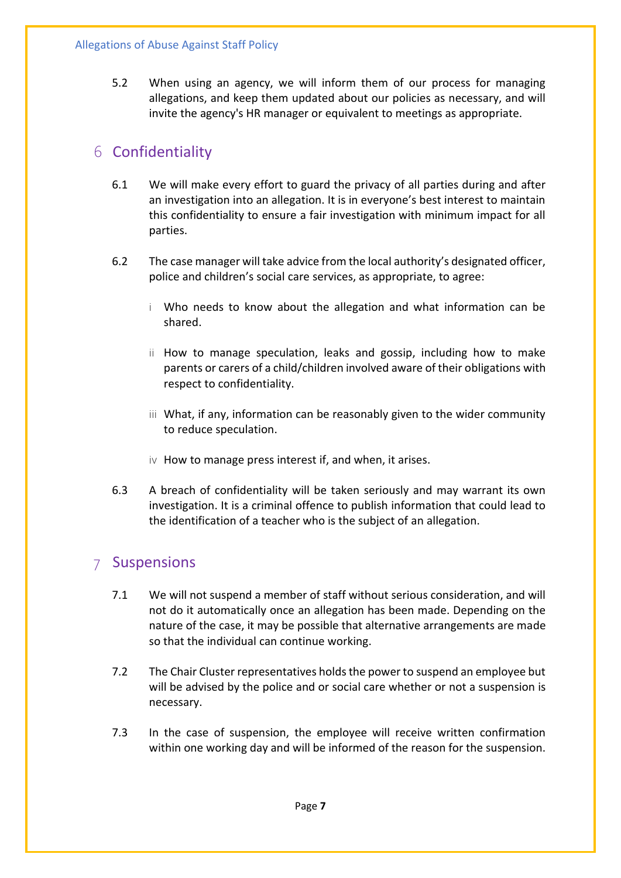5.2 When using an agency, we will inform them of our process for managing allegations, and keep them updated about our policies as necessary, and will invite the agency's HR manager or equivalent to meetings as appropriate.

# 6 Confidentiality

- 6.1 We will make every effort to guard the privacy of all parties during and after an investigation into an allegation. It is in everyone's best interest to maintain this confidentiality to ensure a fair investigation with minimum impact for all parties.
- 6.2 The case manager will take advice from the local authority's designated officer, police and children's social care services, as appropriate, to agree:
	- i Who needs to know about the allegation and what information can be shared.
	- ii How to manage speculation, leaks and gossip, including how to make parents or carers of a child/children involved aware of their obligations with respect to confidentiality.
	- iii What, if any, information can be reasonably given to the wider community to reduce speculation.
	- iv How to manage press interest if, and when, it arises.
- 6.3 A breach of confidentiality will be taken seriously and may warrant its own investigation. It is a criminal offence to publish information that could lead to the identification of a teacher who is the subject of an allegation.

## 7 Suspensions

- 7.1 We will not suspend a member of staff without serious consideration, and will not do it automatically once an allegation has been made. Depending on the nature of the case, it may be possible that alternative arrangements are made so that the individual can continue working.
- 7.2 The Chair Cluster representatives holds the power to suspend an employee but will be advised by the police and or social care whether or not a suspension is necessary.
- 7.3 In the case of suspension, the employee will receive written confirmation within one working day and will be informed of the reason for the suspension.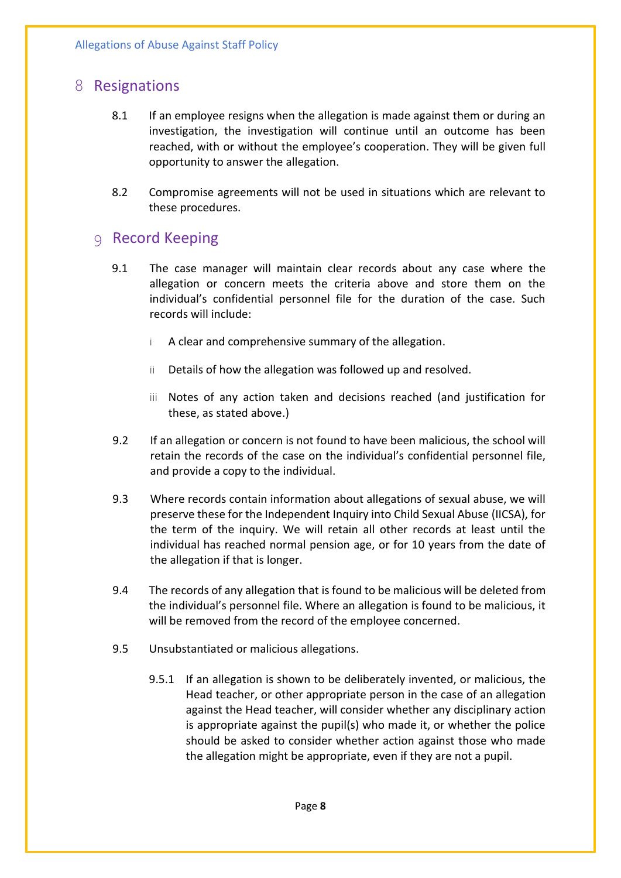# 8 Resignations

- 8.1 If an employee resigns when the allegation is made against them or during an investigation, the investigation will continue until an outcome has been reached, with or without the employee's cooperation. They will be given full opportunity to answer the allegation.
- 8.2 Compromise agreements will not be used in situations which are relevant to these procedures.

### 9 Record Keeping

- 9.1 The case manager will maintain clear records about any case where the allegation or concern meets the criteria above and store them on the individual's confidential personnel file for the duration of the case. Such records will include:
	- i A clear and comprehensive summary of the allegation.
	- ii Details of how the allegation was followed up and resolved.
	- iii Notes of any action taken and decisions reached (and justification for these, as stated above.)
- 9.2 If an allegation or concern is not found to have been malicious, the school will retain the records of the case on the individual's confidential personnel file, and provide a copy to the individual.
- 9.3 Where records contain information about allegations of sexual abuse, we will preserve these for the Independent Inquiry into Child Sexual Abuse (IICSA), for the term of the inquiry. We will retain all other records at least until the individual has reached normal pension age, or for 10 years from the date of the allegation if that is longer.
- 9.4 The records of any allegation that is found to be malicious will be deleted from the individual's personnel file. Where an allegation is found to be malicious, it will be removed from the record of the employee concerned.
- 9.5 Unsubstantiated or malicious allegations.
	- 9.5.1 If an allegation is shown to be deliberately invented, or malicious, the Head teacher, or other appropriate person in the case of an allegation against the Head teacher, will consider whether any disciplinary action is appropriate against the pupil(s) who made it, or whether the police should be asked to consider whether action against those who made the allegation might be appropriate, even if they are not a pupil.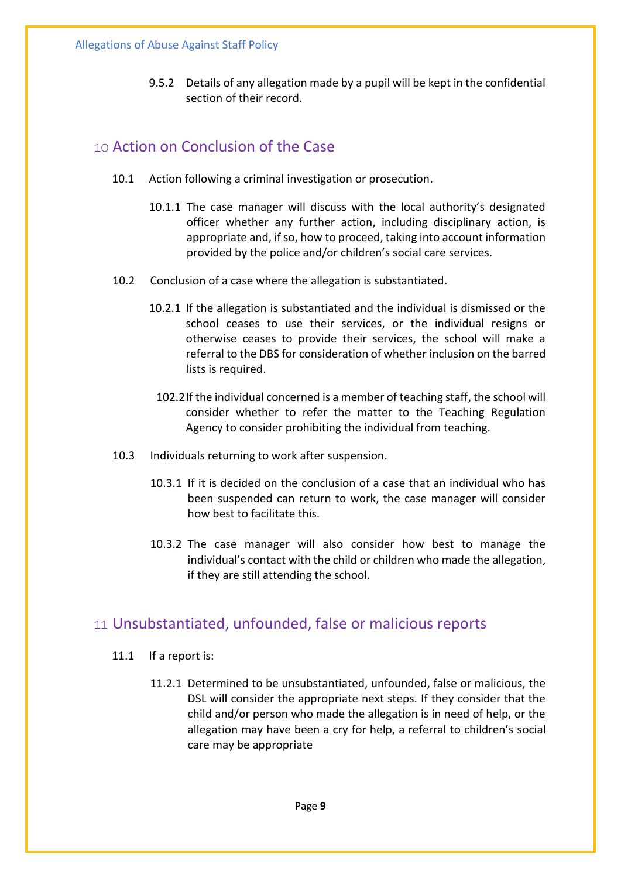9.5.2 Details of any allegation made by a pupil will be kept in the confidential section of their record.

### 10 Action on Conclusion of the Case

- 10.1 Action following a criminal investigation or prosecution.
	- 10.1.1 The case manager will discuss with the local authority's designated officer whether any further action, including disciplinary action, is appropriate and, if so, how to proceed, taking into account information provided by the police and/or children's social care services.
- 10.2 Conclusion of a case where the allegation is substantiated.
	- 10.2.1 If the allegation is substantiated and the individual is dismissed or the school ceases to use their services, or the individual resigns or otherwise ceases to provide their services, the school will make a referral to the DBS for consideration of whether inclusion on the barred lists is required.
	- 102.2If the individual concerned is a member of teaching staff, the school will consider whether to refer the matter to the Teaching Regulation Agency to consider prohibiting the individual from teaching.
- 10.3 Individuals returning to work after suspension.
	- 10.3.1 If it is decided on the conclusion of a case that an individual who has been suspended can return to work, the case manager will consider how best to facilitate this.
	- 10.3.2 The case manager will also consider how best to manage the individual's contact with the child or children who made the allegation, if they are still attending the school.

## 11 Unsubstantiated, unfounded, false or malicious reports

- 11.1 If a report is:
	- 11.2.1 Determined to be unsubstantiated, unfounded, false or malicious, the DSL will consider the appropriate next steps. If they consider that the child and/or person who made the allegation is in need of help, or the allegation may have been a cry for help, a referral to children's social care may be appropriate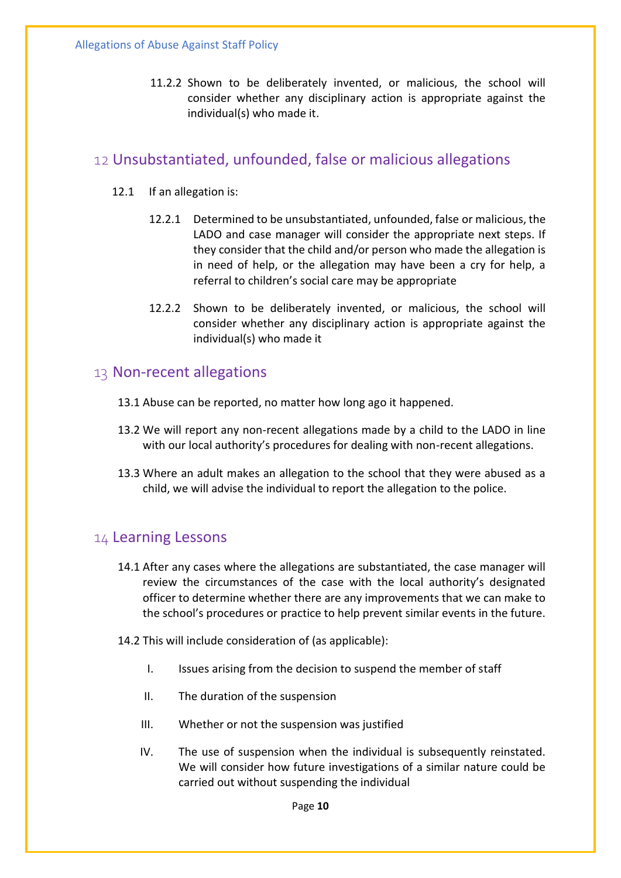11.2.2 Shown to be deliberately invented, or malicious, the school will consider whether any disciplinary action is appropriate against the individual(s) who made it.

### 12 Unsubstantiated, unfounded, false or malicious allegations

- 12.1 If an allegation is:
	- 12.2.1 Determined to be unsubstantiated, unfounded, false or malicious, the LADO and case manager will consider the appropriate next steps. If they consider that the child and/or person who made the allegation is in need of help, or the allegation may have been a cry for help, a referral to children's social care may be appropriate
	- 12.2.2 Shown to be deliberately invented, or malicious, the school will consider whether any disciplinary action is appropriate against the individual(s) who made it

#### 13 Non-recent allegations

- 13.1 Abuse can be reported, no matter how long ago it happened.
- 13.2 We will report any non-recent allegations made by a child to the LADO in line with our local authority's procedures for dealing with non-recent allegations.
- 13.3 Where an adult makes an allegation to the school that they were abused as a child, we will advise the individual to report the allegation to the police.

#### 14 Learning Lessons

- 14.1 After any cases where the allegations are substantiated, the case manager will review the circumstances of the case with the local authority's designated officer to determine whether there are any improvements that we can make to the school's procedures or practice to help prevent similar events in the future.
- 14.2 This will include consideration of (as applicable):
	- I. Issues arising from the decision to suspend the member of staff
	- II. The duration of the suspension
	- III. Whether or not the suspension was justified
	- IV. The use of suspension when the individual is subsequently reinstated. We will consider how future investigations of a similar nature could be carried out without suspending the individual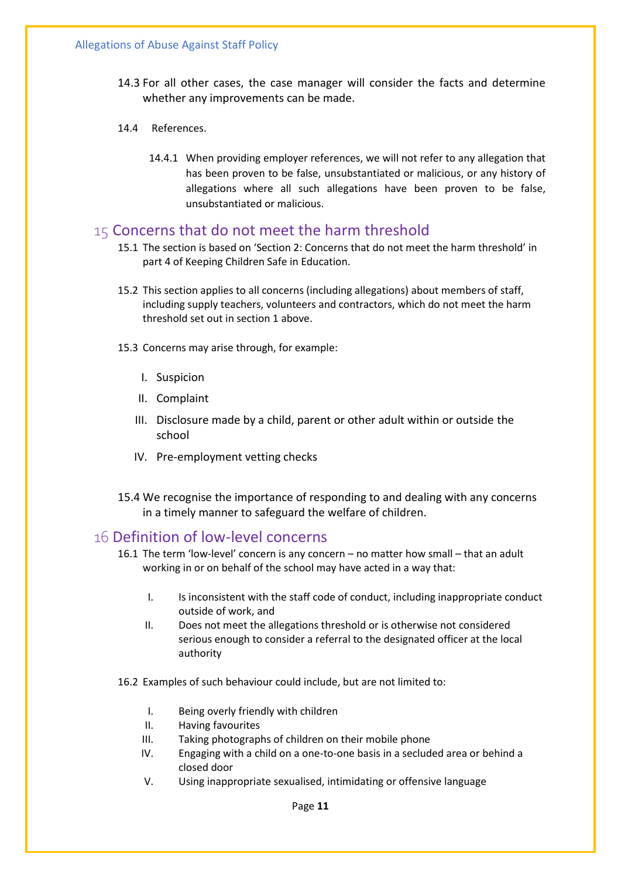- 14.3 For all other cases, the case manager will consider the facts and determine whether any improvements can be made.
- 14.4 References.
	- 14.4.1 When providing employer references, we will not refer to any allegation that has been proven to be false, unsubstantiated or malicious, or any history of allegations where all such allegations have been proven to be false, unsubstantiated or malicious.

#### 15 Concerns that do not meet the harm threshold

- 15.1 The section is based on 'Section 2: Concerns that do not meet the harm threshold' in part 4 of Keeping Children Safe in Education.
- 15.2 This section applies to all concerns (including allegations) about members of staff, including supply teachers, volunteers and contractors, which do not meet the harm threshold set out in section 1 above.
- 15.3 Concerns may arise through, for example:
	- I. Suspicion
	- II. Complaint
	- III. Disclosure made by a child, parent or other adult within or outside the school
	- IV. Pre-employment vetting checks
- 15.4 We recognise the importance of responding to and dealing with any concerns in a timely manner to safeguard the welfare of children.

#### 16 Definition of low-level concerns

- 16.1 The term 'low-level' concern is any concern no matter how small that an adult working in or on behalf of the school may have acted in a way that:
	- I. Is inconsistent with the staff code of conduct, including inappropriate conduct outside of work, and
	- II. Does not meet the allegations threshold or is otherwise not considered serious enough to consider a referral to the designated officer at the local authority
- 16.2 Examples of such behaviour could include, but are not limited to:
	- I. Being overly friendly with children
	- II. Having favourites
	- III. Taking photographs of children on their mobile phone
	- IV. Engaging with a child on a one-to-one basis in a secluded area or behind a closed door
	- V. Using inappropriate sexualised, intimidating or offensive language